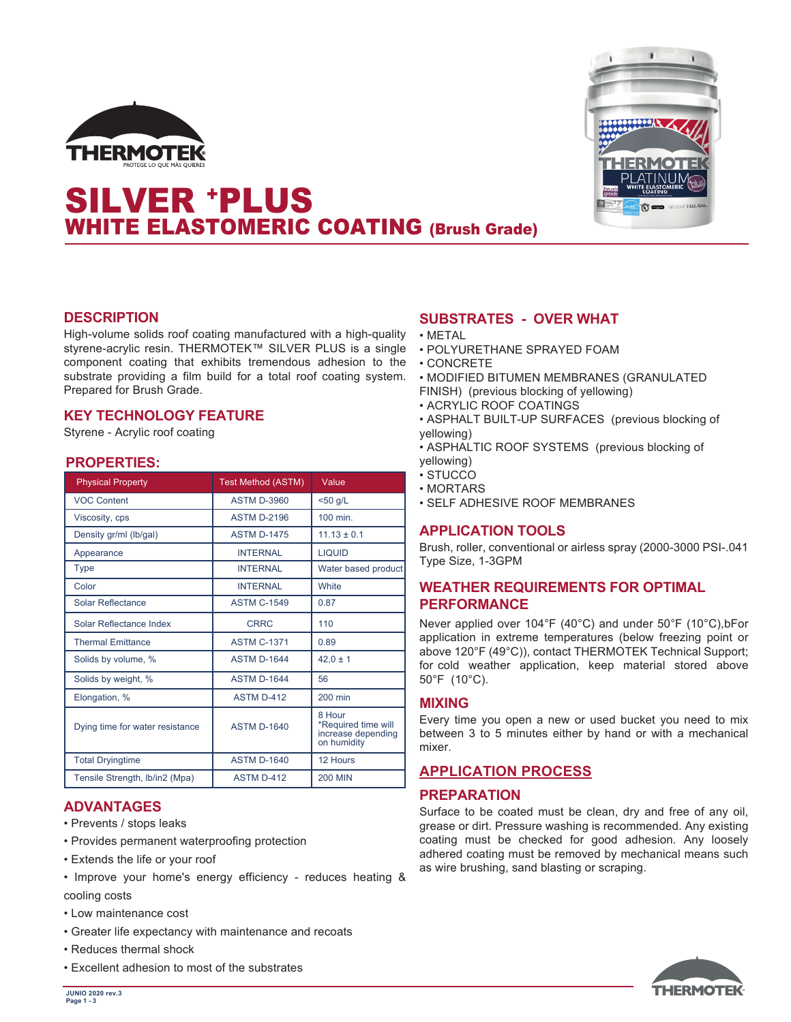



# SILVER +PLUS WHITE ELASTOMERIC COATING (Brush Grade)

#### **DESCRIPTION**

High-volume solids roof coating manufactured with a high-quality styrene-acrylic resin. THERMOTEK™ SILVER PLUS is a single component coating that exhibits tremendous adhesion to the substrate providing a film build for a total roof coating system. Prepared for Brush Grade.

## **KEY TECHNOLOGY FEATURE**

Styrene - Acrylic roof coating

#### **PROPERTIES:**

| <b>Physical Property</b>        | <b>Test Method (ASTM)</b> | Value                                                              |
|---------------------------------|---------------------------|--------------------------------------------------------------------|
| <b>VOC Content</b>              | <b>ASTM D-3960</b>        | $<$ 50 g/L                                                         |
| Viscosity, cps                  | <b>ASTM D-2196</b>        | 100 min.                                                           |
| Density gr/ml (lb/gal)          | <b>ASTM D-1475</b>        | $11.13 \pm 0.1$                                                    |
| Appearance                      | <b>INTERNAL</b>           | <b>LIQUID</b>                                                      |
| <b>Type</b>                     | <b>INTERNAL</b>           | Water based product                                                |
| Color                           | <b>INTERNAL</b>           | White                                                              |
| Solar Reflectance               | <b>ASTM C-1549</b>        | 0.87                                                               |
| Solar Reflectance Index         | <b>CRRC</b>               | 110                                                                |
| <b>Thermal Emittance</b>        | <b>ASTM C-1371</b>        | 0.89                                                               |
| Solids by volume, %             | <b>ASTM D-1644</b>        | $42.0 \pm 1$                                                       |
| Solids by weight, %             | <b>ASTM D-1644</b>        | 56                                                                 |
| Elongation, %                   | <b>ASTM D-412</b>         | 200 min                                                            |
| Dying time for water resistance | <b>ASTM D-1640</b>        | 8 Hour<br>*Required time will<br>increase depending<br>on humidity |
| <b>Total Dryingtime</b>         | <b>ASTM D-1640</b>        | 12 Hours                                                           |
| Tensile Strength, Ib/in2 (Mpa)  | <b>ASTM D-412</b>         | <b>200 MIN</b>                                                     |

#### **ADVANTAGES**

- Prevents / stops leaks
- Provides permanent waterproofing protection
- Extends the life or your roof
- Improve your home's energy efficiency reduces heating & cooling costs
- Low maintenance cost
- Greater life expectancy with maintenance and recoats
- Reduces thermal shock
- Excellent adhesion to most of the substrates

## **SUBSTRATES - OVER WHAT**

- METAL
- POLYURETHANE SPRAYED FOAM
- CONCRETE
- MODIFIED BITUMEN MEMBRANES (GRANULATED
- FINISH) (previous blocking of yellowing)
- ACRYLIC ROOF COATINGS
- ASPHALT BUILT-UP SURFACES (previous blocking of yellowing)
- ASPHALTIC ROOF SYSTEMS (previous blocking of yellowing)
- STUCCO
- MORTARS
- SELF ADHESIVE ROOF MEMBRANES

## **APPLICATION TOOLS**

Brush, roller, conventional or airless spray (2000-3000 PSI-.041 Type Size, 1-3GPM

## **WEATHER REQUIREMENTS FOR OPTIMAL PERFORMANCE**

Never applied over 104°F (40°C) and under 50°F (10°C),bFor application in extreme temperatures (below freezing point or above 120°F (49°C)), contact THERMOTEK Technical Support; for cold weather application, keep material stored above 50°F (10°C).

## **MIXING**

Every time you open a new or used bucket you need to mix between 3 to 5 minutes either by hand or with a mechanical mixer.

## **APPLICATION PROCESS**

#### **PREPARATION**

Surface to be coated must be clean, dry and free of any oil, grease or dirt. Pressure washing is recommended. Any existing coating must be checked for good adhesion. Any loosely adhered coating must be removed by mechanical means such as wire brushing, sand blasting or scraping.

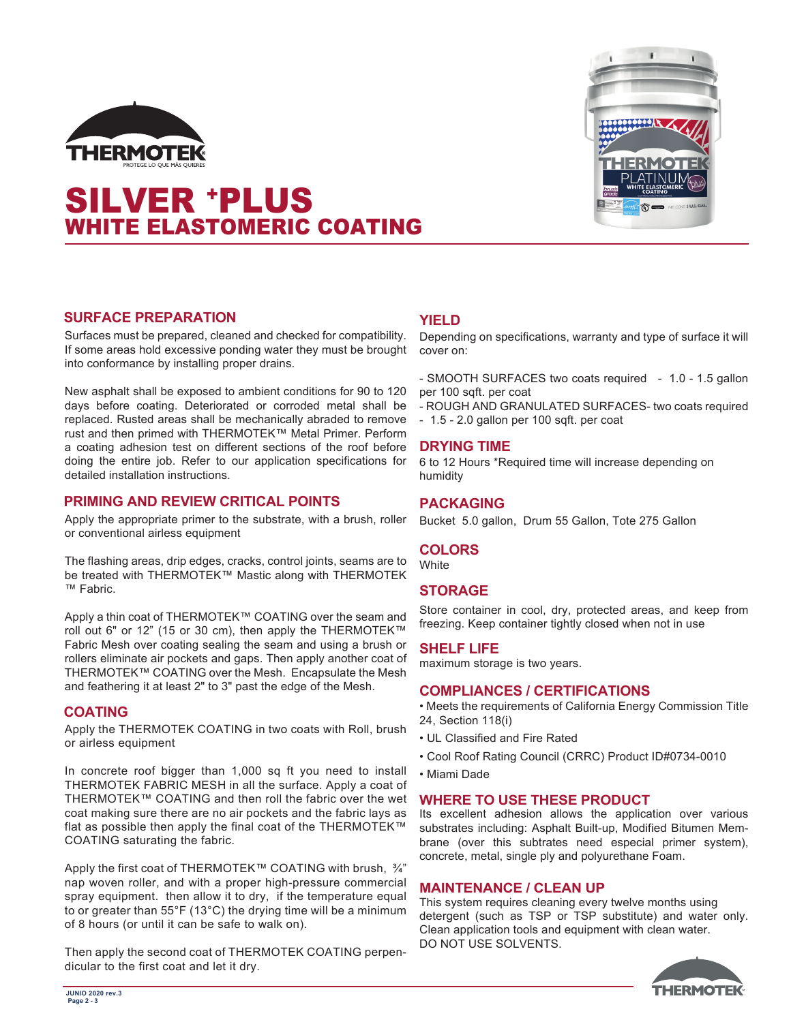

# SILVER +PLUS WHITE ELASTOMERIC COATING



## **SURFACE PREPARATION**

Surfaces must be prepared, cleaned and checked for compatibility. If some areas hold excessive ponding water they must be brought into conformance by installing proper drains.

New asphalt shall be exposed to ambient conditions for 90 to 120 days before coating. Deteriorated or corroded metal shall be replaced. Rusted areas shall be mechanically abraded to remove rust and then primed with THERMOTEK™ Metal Primer. Perform a coating adhesion test on different sections of the roof before doing the entire job. Refer to our application specifications for detailed installation instructions.

#### **PRIMING AND REVIEW CRITICAL POINTS**

Apply the appropriate primer to the substrate, with a brush, roller or conventional airless equipment

The flashing areas, drip edges, cracks, control joints, seams are to be treated with THERMOTEK™ Mastic along with THERMOTEK ™ Fabric.

Apply a thin coat of THERMOTEK™ COATING over the seam and roll out 6" or 12" (15 or 30 cm), then apply the THERMOTEK™ Fabric Mesh over coating sealing the seam and using a brush or rollers eliminate air pockets and gaps. Then apply another coat of THERMOTEK™ COATING over the Mesh. Encapsulate the Mesh and feathering it at least 2" to 3" past the edge of the Mesh.

## **COATING**

Apply the THERMOTEK COATING in two coats with Roll, brush or airless equipment

In concrete roof bigger than 1,000 sq ft you need to install THERMOTEK FABRIC MESH in all the surface. Apply a coat of THERMOTEK™ COATING and then roll the fabric over the wet coat making sure there are no air pockets and the fabric lays as flat as possible then apply the final coat of the THERMOTEK™ COATING saturating the fabric.

Apply the first coat of THERMOTEK™ COATING with brush, ¾" nap woven roller, and with a proper high-pressure commercial spray equipment. then allow it to dry, if the temperature equal to or greater than 55°F (13°C) the drying time will be a minimum of 8 hours (or until it can be safe to walk on).

Then apply the second coat of THERMOTEK COATING perpendicular to the first coat and let it dry.

## **YIELD**

Depending on specifications, warranty and type of surface it will cover on:

- SMOOTH SURFACES two coats required - 1.0 - 1.5 gallon per 100 sqft. per coat

- ROUGH AND GRANULATED SURFACES- two coats required

- 1.5 - 2.0 gallon per 100 sqft. per coat

#### **DRYING TIME**

6 to 12 Hours \*Required time will increase depending on humidity

## **PACKAGING**

Bucket 5.0 gallon, Drum 55 Gallon, Tote 275 Gallon

#### **COLORS**

**White** 

## **STORAGE**

Store container in cool, dry, protected areas, and keep from freezing. Keep container tightly closed when not in use

#### **SHELF LIFE**

maximum storage is two years.

#### **COMPLIANCES / CERTIFICATIONS**

• Meets the requirements of California Energy Commission Title 24, Section 118(i)

- UL Classified and Fire Rated
- Cool Roof Rating Council (CRRC) Product ID#0734-0010
- Miami Dade

#### **WHERE TO USE THESE PRODUCT**

Its excellent adhesion allows the application over various substrates including: Asphalt Built-up, Modified Bitumen Membrane (over this subtrates need especial primer system), concrete, metal, single ply and polyurethane Foam.

#### **MAINTENANCE / CLEAN UP**

This system requires cleaning every twelve months using detergent (such as TSP or TSP substitute) and water only. Clean application tools and equipment with clean water. DO NOT USE SOLVENTS.